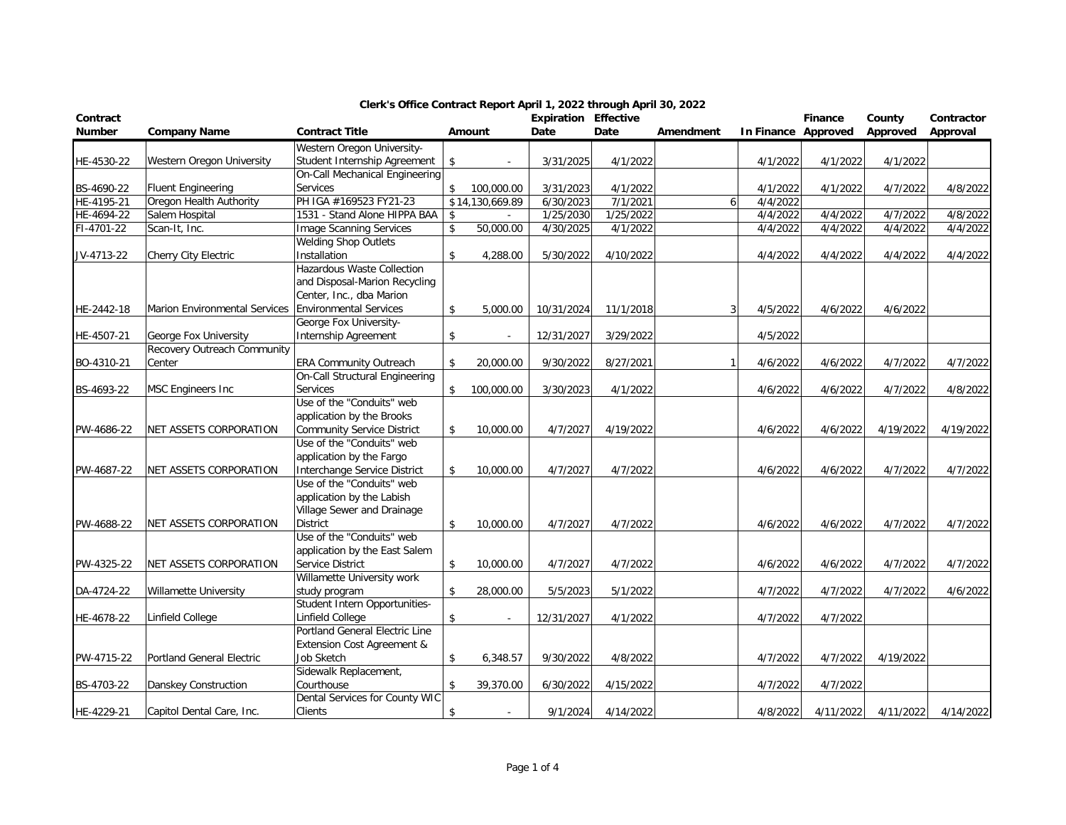| Contract<br>Number | <b>Company Name</b>                  | <b>Contract Title</b>             |                    | Amount          | <b>Expiration Effective</b><br>Date | Date      | Amendment | In Finance Approved      | Finance   | County<br>Approved | Contractor<br>Approval |
|--------------------|--------------------------------------|-----------------------------------|--------------------|-----------------|-------------------------------------|-----------|-----------|--------------------------|-----------|--------------------|------------------------|
|                    |                                      | Western Oregon University-        |                    |                 |                                     |           |           |                          |           |                    |                        |
| HE-4530-22         | Western Oregon University            | Student Internship Agreement      | \$                 |                 | 3/31/2025                           | 4/1/2022  |           | 4/1/2022                 | 4/1/2022  | 4/1/2022           |                        |
|                    |                                      | On-Call Mechanical Engineering    |                    |                 |                                     |           |           |                          |           |                    |                        |
| BS-4690-22         | Fluent Engineering                   | Services                          | \$                 | 100,000.00      | 3/31/2023                           | 4/1/2022  |           | 4/1/2022                 | 4/1/2022  | 4/7/2022           | 4/8/2022               |
| HE-4195-21         | Oregon Health Authority              | PH IGA #169523 FY21-23            |                    | \$14,130,669.89 | 6/30/2023                           | 7/1/2021  |           | 4/4/2022<br>6            |           |                    |                        |
| HE-4694-22         | Salem Hospital                       | 1531 - Stand Alone HIPPA BAA      | \$                 |                 | 1/25/2030                           | 1/25/2022 |           | 4/4/2022                 | 4/4/2022  | 4/7/2022           | 4/8/2022               |
| FI-4701-22         | Scan-It, Inc.                        | <b>Image Scanning Services</b>    | \$                 | 50,000.00       | 4/30/2025                           | 4/1/2022  |           | 4/4/2022                 | 4/4/2022  | 4/4/2022           | 4/4/2022               |
|                    |                                      | <b>Welding Shop Outlets</b>       |                    |                 |                                     |           |           |                          |           |                    |                        |
| JV-4713-22         | Cherry City Electric                 | Installation                      | \$                 | 4,288.00        | 5/30/2022                           | 4/10/2022 |           | 4/4/2022                 | 4/4/2022  | 4/4/2022           | 4/4/2022               |
|                    |                                      | Hazardous Waste Collection        |                    |                 |                                     |           |           |                          |           |                    |                        |
|                    |                                      | and Disposal-Marion Recycling     |                    |                 |                                     |           |           |                          |           |                    |                        |
|                    |                                      | Center, Inc., dba Marion          |                    |                 |                                     |           |           |                          |           |                    |                        |
| HE-2442-18         | <b>Marion Environmental Services</b> | <b>Environmental Services</b>     | \$                 | 5,000.00        | 10/31/2024                          | 11/1/2018 |           | 3<br>4/5/2022            | 4/6/2022  | 4/6/2022           |                        |
|                    |                                      | George Fox University-            |                    |                 |                                     |           |           |                          |           |                    |                        |
| HE-4507-21         | George Fox University                | Internship Agreement              | \$                 |                 | 12/31/2027                          | 3/29/2022 |           | 4/5/2022                 |           |                    |                        |
|                    | Recovery Outreach Community          |                                   |                    |                 |                                     |           |           |                          |           |                    |                        |
| BO-4310-21         | Center                               | <b>ERA Community Outreach</b>     | \$                 | 20,000.00       | 9/30/2022                           | 8/27/2021 |           | 4/6/2022<br>$\mathbf{1}$ | 4/6/2022  | 4/7/2022           | 4/7/2022               |
|                    |                                      | On-Call Structural Engineering    |                    |                 |                                     |           |           |                          |           |                    |                        |
| BS-4693-22         | <b>MSC Engineers Inc</b>             | <b>Services</b>                   | \$                 | 100,000.00      | 3/30/2023                           | 4/1/2022  |           | 4/6/2022                 | 4/6/2022  | 4/7/2022           | 4/8/2022               |
|                    |                                      | Use of the "Conduits" web         |                    |                 |                                     |           |           |                          |           |                    |                        |
|                    |                                      | application by the Brooks         |                    |                 |                                     |           |           |                          |           |                    |                        |
| PW-4686-22         | NET ASSETS CORPORATION               | <b>Community Service District</b> | \$                 | 10,000.00       | 4/7/2027                            | 4/19/2022 |           | 4/6/2022                 | 4/6/2022  | 4/19/2022          | 4/19/2022              |
|                    |                                      | Use of the "Conduits" web         |                    |                 |                                     |           |           |                          |           |                    |                        |
|                    |                                      | application by the Fargo          |                    |                 |                                     |           |           |                          |           |                    |                        |
| PW-4687-22         | NET ASSETS CORPORATION               | Interchange Service District      | \$                 | 10,000.00       | 4/7/2027                            | 4/7/2022  |           | 4/6/2022                 | 4/6/2022  | 4/7/2022           | 4/7/2022               |
|                    |                                      | Use of the "Conduits" web         |                    |                 |                                     |           |           |                          |           |                    |                        |
|                    |                                      | application by the Labish         |                    |                 |                                     |           |           |                          |           |                    |                        |
|                    |                                      | Village Sewer and Drainage        |                    |                 |                                     |           |           |                          |           |                    |                        |
| PW-4688-22         | NET ASSETS CORPORATION               | <b>District</b>                   | \$                 | 10,000.00       | 4/7/2027                            | 4/7/2022  |           | 4/6/2022                 | 4/6/2022  | 4/7/2022           | 4/7/2022               |
|                    |                                      | Use of the "Conduits" web         |                    |                 |                                     |           |           |                          |           |                    |                        |
|                    |                                      | application by the East Salem     |                    |                 |                                     |           |           |                          |           |                    |                        |
| PW-4325-22         | NET ASSETS CORPORATION               | Service District                  | \$                 | 10,000.00       | 4/7/2027                            | 4/7/2022  |           | 4/6/2022                 | 4/6/2022  | 4/7/2022           | 4/7/2022               |
|                    |                                      | Willamette University work        |                    |                 |                                     |           |           |                          |           |                    |                        |
| DA-4724-22         | <b>Willamette University</b>         | study program                     | $\mathbf{\hat{S}}$ | 28,000.00       | 5/5/2023                            | 5/1/2022  |           | 4/7/2022                 | 4/7/2022  | 4/7/2022           | 4/6/2022               |
|                    |                                      | Student Intern Opportunities-     |                    |                 |                                     |           |           |                          |           |                    |                        |
| HE-4678-22         | Linfield College                     | Linfield College                  | \$                 |                 | 12/31/2027                          | 4/1/2022  |           | 4/7/2022                 | 4/7/2022  |                    |                        |
|                    |                                      | Portland General Electric Line    |                    |                 |                                     |           |           |                          |           |                    |                        |
|                    |                                      | Extension Cost Agreement &        |                    |                 |                                     |           |           |                          |           |                    |                        |
| PW-4715-22         | Portland General Electric            | Job Sketch                        | \$                 | 6,348.57        | 9/30/2022                           | 4/8/2022  |           | 4/7/2022                 | 4/7/2022  | 4/19/2022          |                        |
|                    |                                      | Sidewalk Replacement,             |                    |                 |                                     |           |           |                          |           |                    |                        |
| BS-4703-22         | Danskey Construction                 | Courthouse                        | \$                 | 39,370.00       | 6/30/2022                           | 4/15/2022 |           | 4/7/2022                 | 4/7/2022  |                    |                        |
|                    |                                      | Dental Services for County WIC    |                    |                 |                                     |           |           |                          |           |                    |                        |
| HE-4229-21         | Capitol Dental Care, Inc.            | <b>Clients</b>                    | \$                 |                 | 9/1/2024                            | 4/14/2022 |           | 4/8/2022                 | 4/11/2022 | 4/11/2022          | 4/14/2022              |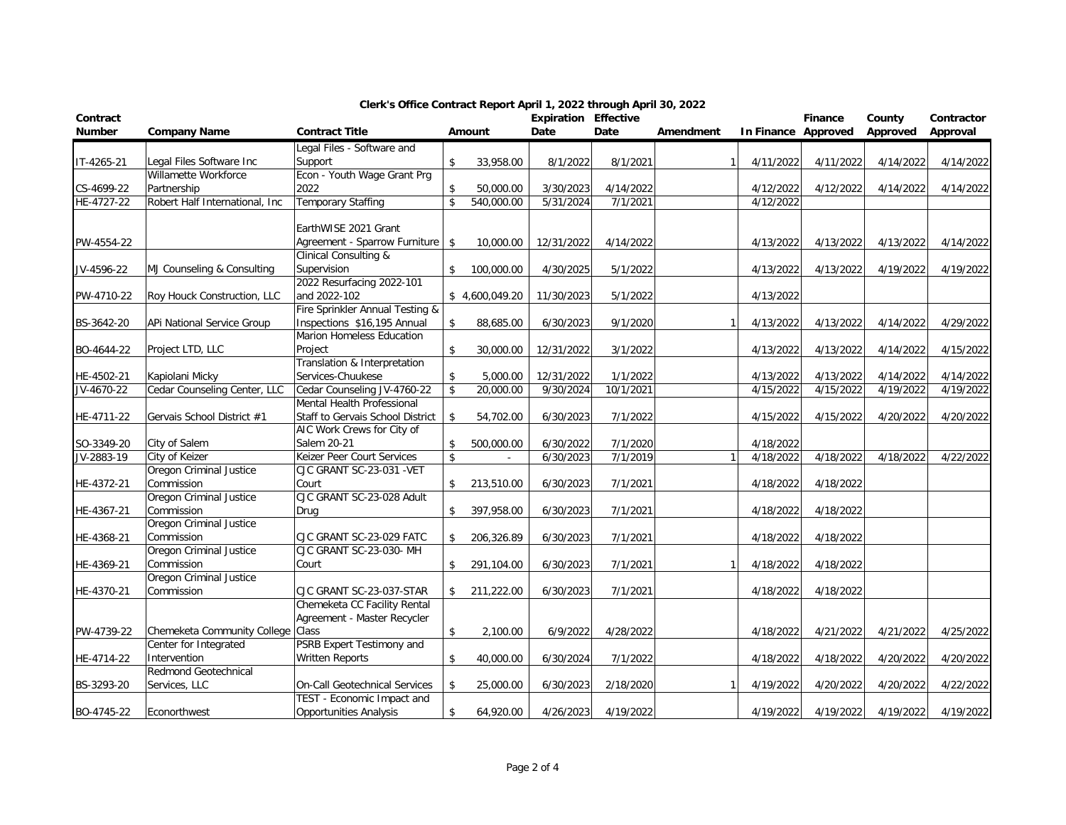| Contract<br>Number |                                                            | <b>Contract Title</b>                  |                    | Amount         | <b>Expiration Effective</b><br>Date | Date      |              |                     | Finance   | County    | Contractor |
|--------------------|------------------------------------------------------------|----------------------------------------|--------------------|----------------|-------------------------------------|-----------|--------------|---------------------|-----------|-----------|------------|
|                    | <b>Company Name</b>                                        |                                        |                    |                |                                     |           | Amendment    | In Finance Approved |           | Approved  | Approval   |
|                    |                                                            | Legal Files - Software and             |                    |                |                                     |           |              |                     |           |           |            |
| IT-4265-21         | Legal Files Software Inc<br>Willamette Workforce           | Support<br>Econ - Youth Wage Grant Prg | \$                 | 33,958.00      | 8/1/2022                            | 8/1/2021  |              | 4/11/2022           | 4/11/2022 | 4/14/2022 | 4/14/2022  |
| CS-4699-22         |                                                            | 2022                                   | $\mathbb{S}$       |                | 3/30/2023                           | 4/14/2022 |              | 4/12/2022           | 4/12/2022 | 4/14/2022 | 4/14/2022  |
|                    | Partnership<br>Robert Half International, Inc              | <b>Temporary Staffing</b>              | $\mathfrak{S}$     | 50,000.00      |                                     |           |              |                     |           |           |            |
| HE-4727-22         |                                                            |                                        |                    | 540,000.00     | 5/31/2024                           | 7/1/2021  |              | 4/12/2022           |           |           |            |
|                    |                                                            | EarthWISE 2021 Grant                   |                    |                |                                     |           |              |                     |           |           |            |
| PW-4554-22         |                                                            | Agreement - Sparrow Furniture          | \$                 | 10,000.00      | 12/31/2022                          | 4/14/2022 |              | 4/13/2022           | 4/13/2022 | 4/13/2022 | 4/14/2022  |
|                    |                                                            | <b>Clinical Consulting &amp;</b>       |                    |                |                                     |           |              |                     |           |           |            |
| JV-4596-22         | MJ Counseling & Consulting                                 | Supervision                            | \$                 | 100,000.00     | 4/30/2025                           | 5/1/2022  |              | 4/13/2022           | 4/13/2022 | 4/19/2022 | 4/19/2022  |
|                    |                                                            | 2022 Resurfacing 2022-101              |                    |                |                                     |           |              |                     |           |           |            |
| PW-4710-22         | Roy Houck Construction, LLC                                | and 2022-102                           |                    | \$4,600,049.20 | 11/30/2023                          | 5/1/2022  |              | 4/13/2022           |           |           |            |
|                    |                                                            | Fire Sprinkler Annual Testing &        |                    |                |                                     |           |              |                     |           |           |            |
| BS-3642-20         | APi National Service Group                                 | Inspections \$16,195 Annual            | $\mathbf{\hat{S}}$ | 88,685.00      | 6/30/2023                           | 9/1/2020  |              | 4/13/2022           | 4/13/2022 | 4/14/2022 | 4/29/2022  |
|                    |                                                            | Marion Homeless Education              |                    |                |                                     |           |              |                     |           |           |            |
| BO-4644-22         | Project LTD, LLC                                           | Project                                | \$                 | 30,000.00      | 12/31/2022                          | 3/1/2022  |              | 4/13/2022           | 4/13/2022 | 4/14/2022 | 4/15/2022  |
|                    |                                                            | Translation & Interpretation           |                    |                |                                     |           |              |                     |           |           |            |
| HE-4502-21         | Kapiolani Micky                                            | Services-Chuukese                      | $\mathbb{S}$       | 5,000.00       | 12/31/2022                          | 1/1/2022  |              | 4/13/2022           | 4/13/2022 | 4/14/2022 | 4/14/2022  |
| JV-4670-22         | Cedar Counseling Center, LLC                               | Cedar Counseling JV-4760-22            | \$                 | 20,000.00      | 9/30/2024                           | 10/1/2021 |              | 4/15/2022           | 4/15/2022 | 4/19/2022 | 4/19/2022  |
|                    |                                                            | Mental Health Professional             |                    |                |                                     |           |              |                     |           |           |            |
| HE-4711-22         | Gervais School District #1                                 | Staff to Gervais School District       | $\mathbf{\hat{S}}$ | 54,702.00      | 6/30/2023                           | 7/1/2022  |              | 4/15/2022           | 4/15/2022 | 4/20/2022 | 4/20/2022  |
|                    |                                                            | AIC Work Crews for City of             |                    |                |                                     |           |              |                     |           |           |            |
| SO-3349-20         | City of Salem                                              | Salem 20-21                            |                    | 500,000.00     | 6/30/2022                           | 7/1/2020  |              | 4/18/2022           |           |           |            |
| JV-2883-19         | City of Keizer                                             | Keizer Peer Court Services             | $\mathbf{\hat{S}}$ | $\omega$       | 6/30/2023                           | 7/1/2019  | $\mathbf{1}$ | 4/18/2022           | 4/18/2022 | 4/18/2022 | 4/22/2022  |
|                    | Oregon Criminal Justice                                    | CJC GRANT SC-23-031 -VET               |                    |                |                                     |           |              |                     |           |           |            |
| HE-4372-21         | Commission                                                 | Court                                  | \$                 | 213,510.00     | 6/30/2023                           | 7/1/2021  |              | 4/18/2022           | 4/18/2022 |           |            |
|                    | Oregon Criminal Justice                                    | CJC GRANT SC-23-028 Adult              |                    |                |                                     |           |              |                     |           |           |            |
| HE-4367-21         | Commission                                                 | Drug                                   | \$                 | 397,958.00     | 6/30/2023                           | 7/1/2021  |              | 4/18/2022           | 4/18/2022 |           |            |
|                    | Oregon Criminal Justice                                    |                                        |                    |                |                                     |           |              |                     |           |           |            |
| HE-4368-21         | Commission                                                 | CJC GRANT SC-23-029 FATC               | \$                 | 206,326.89     | 6/30/2023                           | 7/1/2021  |              | 4/18/2022           | 4/18/2022 |           |            |
|                    | Oregon Criminal Justice                                    | CJC GRANT SC-23-030- MH                |                    |                |                                     |           |              |                     |           |           |            |
| HE-4369-21         | Commission                                                 | Court                                  | \$                 | 291,104.00     | 6/30/2023                           | 7/1/2021  | $\mathbf{1}$ | 4/18/2022           | 4/18/2022 |           |            |
|                    | Oregon Criminal Justice                                    |                                        |                    |                |                                     |           |              |                     |           |           |            |
| HE-4370-21         | Commission                                                 | CJC GRANT SC-23-037-STAR               | \$                 | 211,222.00     | 6/30/2023                           | 7/1/2021  |              | 4/18/2022           | 4/18/2022 |           |            |
|                    |                                                            | Chemeketa CC Facility Rental           |                    |                |                                     |           |              |                     |           |           |            |
|                    |                                                            | Agreement - Master Recycler            |                    |                |                                     |           |              |                     |           |           |            |
| PW-4739-22         | Chemeketa Community College Class<br>Center for Integrated | PSRB Expert Testimony and              | \$                 | 2,100.00       | 6/9/2022                            | 4/28/2022 |              | 4/18/2022           | 4/21/2022 | 4/21/2022 | 4/25/2022  |
|                    | Intervention                                               | <b>Written Reports</b>                 | \$                 |                |                                     | 7/1/2022  |              |                     |           |           |            |
| HE-4714-22         | Redmond Geotechnical                                       |                                        |                    | 40,000.00      | 6/30/2024                           |           |              | 4/18/2022           | 4/18/2022 | 4/20/2022 | 4/20/2022  |
| BS-3293-20         | Services, LLC                                              | On-Call Geotechnical Services          | \$                 | 25,000.00      | 6/30/2023                           | 2/18/2020 |              | 4/19/2022           | 4/20/2022 | 4/20/2022 | 4/22/2022  |
|                    |                                                            | TEST - Economic Impact and             |                    |                |                                     |           |              |                     |           |           |            |
| BO-4745-22         | Econorthwest                                               | <b>Opportunities Analysis</b>          | \$                 | 64,920.00      | 4/26/2023                           | 4/19/2022 |              | 4/19/2022           | 4/19/2022 | 4/19/2022 | 4/19/2022  |
|                    |                                                            |                                        |                    |                |                                     |           |              |                     |           |           |            |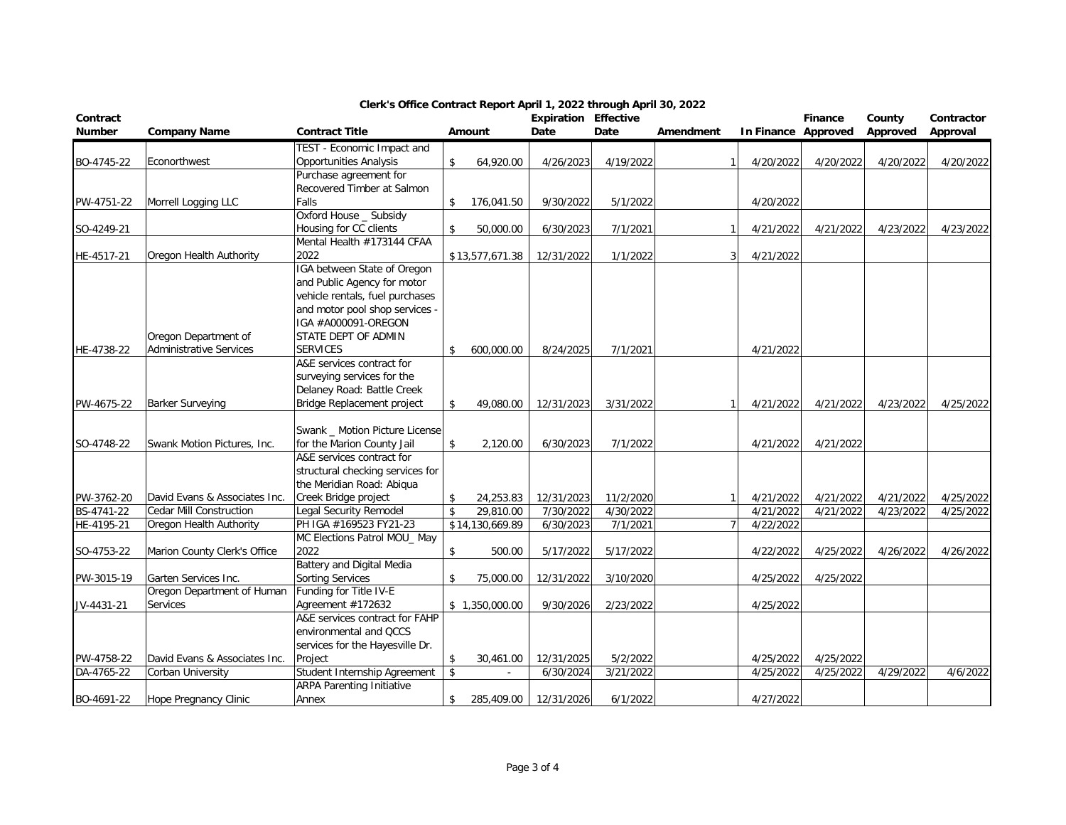| Contract<br>Number | <b>Company Name</b>            | <b>Contract Title</b>                                   |                    | Amount          | <b>Expiration Effective</b><br>Date | Date      | Amendment      | In Finance Approved | <b>Finance</b> | County<br>Approved | Contractor<br>Approval |
|--------------------|--------------------------------|---------------------------------------------------------|--------------------|-----------------|-------------------------------------|-----------|----------------|---------------------|----------------|--------------------|------------------------|
|                    |                                | TEST - Economic Impact and                              |                    |                 |                                     |           |                |                     |                |                    |                        |
| BO-4745-22         | Econorthwest                   | <b>Opportunities Analysis</b>                           | \$                 | 64,920.00       | 4/26/2023                           | 4/19/2022 |                | 4/20/2022           | 4/20/2022      | 4/20/2022          | 4/20/2022              |
|                    |                                | Purchase agreement for                                  |                    |                 |                                     |           |                |                     |                |                    |                        |
|                    |                                | Recovered Timber at Salmon                              |                    |                 |                                     |           |                |                     |                |                    |                        |
| PW-4751-22         | Morrell Logging LLC            | Falls                                                   | \$                 | 176,041.50      | 9/30/2022                           | 5/1/2022  |                | 4/20/2022           |                |                    |                        |
|                    |                                | Oxford House _ Subsidy                                  |                    |                 |                                     |           |                |                     |                |                    |                        |
| SO-4249-21         |                                | Housing for CC clients                                  | \$                 | 50,000.00       | 6/30/2023                           | 7/1/2021  |                | 4/21/2022           | 4/21/2022      | 4/23/2022          | 4/23/2022              |
|                    |                                | Mental Health #173144 CFAA                              |                    |                 |                                     |           |                |                     |                |                    |                        |
| HE-4517-21         | Oregon Health Authority        | 2022                                                    |                    | \$13,577,671.38 | 12/31/2022                          | 1/1/2022  | 3              | 4/21/2022           |                |                    |                        |
|                    |                                | IGA between State of Oregon                             |                    |                 |                                     |           |                |                     |                |                    |                        |
|                    |                                | and Public Agency for motor                             |                    |                 |                                     |           |                |                     |                |                    |                        |
|                    |                                | vehicle rentals, fuel purchases                         |                    |                 |                                     |           |                |                     |                |                    |                        |
|                    |                                | and motor pool shop services -                          |                    |                 |                                     |           |                |                     |                |                    |                        |
|                    |                                | IGA #A000091-OREGON                                     |                    |                 |                                     |           |                |                     |                |                    |                        |
|                    | Oregon Department of           | STATE DEPT OF ADMIN                                     |                    |                 |                                     |           |                |                     |                |                    |                        |
| HE-4738-22         | <b>Administrative Services</b> | <b>SERVICES</b>                                         | \$                 | 600,000.00      | 8/24/2025                           | 7/1/2021  |                | 4/21/2022           |                |                    |                        |
|                    |                                | A&E services contract for                               |                    |                 |                                     |           |                |                     |                |                    |                        |
|                    |                                | surveying services for the                              |                    |                 |                                     |           |                |                     |                |                    |                        |
|                    |                                | Delaney Road: Battle Creek                              |                    |                 |                                     |           |                |                     |                |                    |                        |
| PW-4675-22         | <b>Barker Surveying</b>        | Bridge Replacement project                              | \$                 | 49,080.00       | 12/31/2023                          | 3/31/2022 |                | 4/21/2022           | 4/21/2022      | 4/23/2022          | 4/25/2022              |
|                    |                                |                                                         |                    |                 |                                     |           |                |                     |                |                    |                        |
|                    |                                | Swank _ Motion Picture License                          |                    |                 |                                     |           |                |                     |                |                    |                        |
| SO-4748-22         | Swank Motion Pictures, Inc.    | for the Marion County Jail<br>A&E services contract for | \$                 | 2,120.00        | 6/30/2023                           | 7/1/2022  |                | 4/21/2022           | 4/21/2022      |                    |                        |
|                    |                                | structural checking services for                        |                    |                 |                                     |           |                |                     |                |                    |                        |
|                    |                                | the Meridian Road: Abiqua                               |                    |                 |                                     |           |                |                     |                |                    |                        |
| PW-3762-20         | David Evans & Associates Inc.  | Creek Bridge project                                    | \$                 | 24,253.83       | 12/31/2023                          | 11/2/2020 |                | 4/21/2022           | 4/21/2022      | 4/21/2022          | 4/25/2022              |
| BS-4741-22         | <b>Cedar Mill Construction</b> | Legal Security Remodel                                  | \$                 | 29,810.00       | 7/30/2022                           | 4/30/2022 |                | 4/21/2022           | 4/21/2022      | 4/23/2022          | 4/25/2022              |
| HE-4195-21         | Oregon Health Authority        | PH IGA #169523 FY21-23                                  |                    | \$14,130,669.89 | 6/30/2023                           | 7/1/2021  | $\overline{7}$ | 4/22/2022           |                |                    |                        |
|                    |                                | MC Elections Patrol MOU_ May                            |                    |                 |                                     |           |                |                     |                |                    |                        |
| SO-4753-22         | Marion County Clerk's Office   | 2022                                                    | \$                 | 500.00          | 5/17/2022                           | 5/17/2022 |                | 4/22/2022           | 4/25/2022      | 4/26/2022          | 4/26/2022              |
|                    |                                | <b>Battery and Digital Media</b>                        |                    |                 |                                     |           |                |                     |                |                    |                        |
| PW-3015-19         | Garten Services Inc.           | <b>Sorting Services</b>                                 | \$                 | 75,000.00       | 12/31/2022                          | 3/10/2020 |                | 4/25/2022           | 4/25/2022      |                    |                        |
|                    | Oregon Department of Human     | Funding for Title IV-E                                  |                    |                 |                                     |           |                |                     |                |                    |                        |
| JV-4431-21         | <b>Services</b>                | Agreement #172632                                       |                    | \$1,350,000.00  | 9/30/2026                           | 2/23/2022 |                | 4/25/2022           |                |                    |                        |
|                    |                                | A&E services contract for FAHP                          |                    |                 |                                     |           |                |                     |                |                    |                        |
|                    |                                | environmental and QCCS                                  |                    |                 |                                     |           |                |                     |                |                    |                        |
|                    |                                | services for the Hayesville Dr.                         |                    |                 |                                     |           |                |                     |                |                    |                        |
| PW-4758-22         | David Evans & Associates Inc.  | Project                                                 | \$                 | 30,461.00       | 12/31/2025                          | 5/2/2022  |                | 4/25/2022           | 4/25/2022      |                    |                        |
| DA-4765-22         | Corban University              | Student Internship Agreement                            | $\mathbf{\hat{S}}$ |                 | 6/30/2024                           | 3/21/2022 |                | 4/25/2022           | 4/25/2022      | 4/29/2022          | 4/6/2022               |
|                    |                                | <b>ARPA Parenting Initiative</b>                        |                    |                 |                                     |           |                |                     |                |                    |                        |
| BO-4691-22         | Hope Pregnancy Clinic          | Annex                                                   | \$                 | 285,409.00      | 12/31/2026                          | 6/1/2022  |                | 4/27/2022           |                |                    |                        |